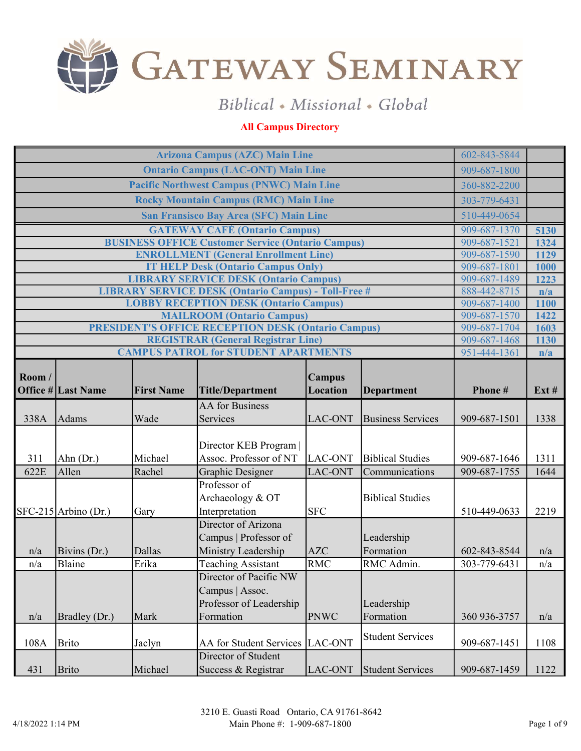

## Biblical • Missional • Global

## All Campus Directory

|       |                                              |                   | <b>Arizona Campus (AZC) Main Line</b>                      |                |                          | 602-843-5844 |                               |
|-------|----------------------------------------------|-------------------|------------------------------------------------------------|----------------|--------------------------|--------------|-------------------------------|
|       |                                              |                   | <b>Ontario Campus (LAC-ONT) Main Line</b>                  |                |                          | 909-687-1800 |                               |
|       |                                              |                   | <b>Pacific Northwest Campus (PNWC) Main Line</b>           |                |                          | 360-882-2200 |                               |
|       |                                              |                   | <b>Rocky Mountain Campus (RMC) Main Line</b>               |                |                          | 303-779-6431 |                               |
|       |                                              |                   | <b>San Fransisco Bay Area (SFC) Main Line</b>              |                |                          | 510-449-0654 |                               |
|       |                                              |                   | <b>GATEWAY CAFÉ (Ontario Campus)</b>                       |                |                          | 909-687-1370 | 5130                          |
|       |                                              |                   | <b>BUSINESS OFFICE Customer Service (Ontario Campus)</b>   |                |                          | 909-687-1521 | 1324                          |
|       |                                              |                   | 909-687-1590                                               | 1129           |                          |              |                               |
|       |                                              |                   | 909-687-1801                                               | 1000           |                          |              |                               |
|       | <b>LIBRARY SERVICE DESK (Ontario Campus)</b> |                   | 909-687-1489                                               | 1223           |                          |              |                               |
|       |                                              |                   | <b>LIBRARY SERVICE DESK (Ontario Campus) - Toll-Free #</b> |                |                          | 888-442-8715 | n/a                           |
|       |                                              |                   | <b>LOBBY RECEPTION DESK (Ontario Campus)</b>               |                |                          | 909-687-1400 | 1100                          |
|       |                                              |                   | <b>MAILROOM (Ontario Campus)</b>                           |                |                          | 909-687-1570 | 1422                          |
|       |                                              |                   | <b>PRESIDENT'S OFFICE RECEPTION DESK (Ontario Campus)</b>  |                |                          | 909-687-1704 | 1603                          |
|       |                                              |                   | <b>REGISTRAR (General Registrar Line)</b>                  |                |                          | 909-687-1468 | 1130                          |
|       |                                              |                   | <b>CAMPUS PATROL for STUDENT APARTMENTS</b>                |                |                          | 951-444-1361 | n/a                           |
|       |                                              |                   |                                                            |                |                          |              |                               |
| Room/ |                                              |                   |                                                            | <b>Campus</b>  |                          |              |                               |
|       | <b>Office # Last Name</b>                    | <b>First Name</b> | <b>Title/Department</b>                                    | Location       | Department               | Phone#       | $\mathbf{Ext} \, \mathbf{\#}$ |
|       |                                              |                   | <b>AA</b> for Business                                     |                |                          |              |                               |
| 338A  | Adams                                        | Wade              | Services                                                   | <b>LAC-ONT</b> | <b>Business Services</b> | 909-687-1501 | 1338                          |
|       |                                              |                   |                                                            |                |                          |              |                               |
|       |                                              |                   | Director KEB Program                                       |                |                          |              |                               |
| 311   | Ahn (Dr.)                                    | Michael           | Assoc. Professor of NT                                     | <b>LAC-ONT</b> | <b>Biblical Studies</b>  | 909-687-1646 | 1311                          |
| 622E  | Allen                                        | Rachel            | <b>Graphic Designer</b>                                    | <b>LAC-ONT</b> | Communications           | 909-687-1755 | 1644                          |
|       |                                              |                   | Professor of                                               |                |                          |              |                               |
|       |                                              |                   | Archaeology & OT                                           |                | <b>Biblical Studies</b>  |              |                               |
|       | $SFC-215$ Arbino (Dr.)                       | Gary              | Interpretation                                             | <b>SFC</b>     |                          | 510-449-0633 | 2219                          |
|       |                                              |                   | Director of Arizona                                        |                |                          |              |                               |
|       |                                              |                   | Campus   Professor of                                      |                | Leadership               |              |                               |
| n/a   | Bivins (Dr.)                                 | Dallas            | Ministry Leadership                                        | <b>AZC</b>     | Formation                | 602-843-8544 | n/a                           |
| n/a   | Blaine                                       | Erika             | <b>Teaching Assistant</b>                                  | <b>RMC</b>     | RMC Admin.               | 303-779-6431 | n/a                           |
|       |                                              |                   | Director of Pacific NW                                     |                |                          |              |                               |
|       |                                              |                   | Campus   Assoc.                                            |                |                          |              |                               |
|       |                                              |                   | Professor of Leadership                                    |                | Leadership               |              |                               |
| n/a   | Bradley (Dr.)                                | Mark              | Formation                                                  | <b>PNWC</b>    | Formation                | 360 936-3757 | n/a                           |
|       |                                              |                   |                                                            |                |                          |              |                               |
| 108A  | Brito                                        | Jaclyn            | AA for Student Services                                    | <b>LAC-ONT</b> | <b>Student Services</b>  | 909-687-1451 | 1108                          |
|       |                                              |                   | Director of Student                                        |                |                          |              |                               |
| 431   | <b>Brito</b>                                 | Michael           | Success & Registrar                                        | <b>LAC-ONT</b> | Student Services         | 909-687-1459 | 1122                          |
|       |                                              |                   |                                                            |                |                          |              |                               |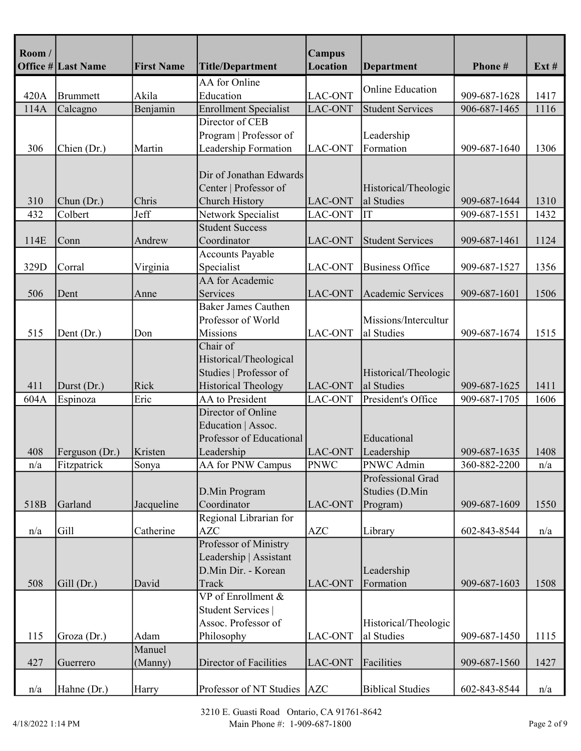| Room/ | <b>Office # Last Name</b> | <b>First Name</b> | <b>Title/Department</b>               | <b>Campus</b><br><b>Location</b> | Department               | Phone #      | $\mathbf{Ext} \, \mathbf{\#}$ |
|-------|---------------------------|-------------------|---------------------------------------|----------------------------------|--------------------------|--------------|-------------------------------|
|       |                           |                   | AA for Online                         |                                  |                          |              |                               |
| 420A  | <b>Brummett</b>           | Akila             | Education                             | <b>LAC-ONT</b>                   | <b>Online Education</b>  | 909-687-1628 | 1417                          |
| 114A  | Calcagno                  | Benjamin          | <b>Enrollment Specialist</b>          | <b>LAC-ONT</b>                   | <b>Student Services</b>  | 906-687-1465 | 1116                          |
|       |                           |                   | Director of CEB                       |                                  |                          |              |                               |
|       |                           |                   | Program   Professor of                |                                  | Leadership               |              |                               |
| 306   | Chien (Dr.)               | Martin            | Leadership Formation                  | <b>LAC-ONT</b>                   | Formation                | 909-687-1640 | 1306                          |
|       |                           |                   | Dir of Jonathan Edwards               |                                  |                          |              |                               |
|       |                           |                   | Center   Professor of                 |                                  | Historical/Theologic     |              |                               |
| 310   | Chun (Dr.)                | Chris             | Church History                        | <b>LAC-ONT</b>                   | al Studies               | 909-687-1644 | 1310                          |
| 432   | Colbert                   | Jeff              | Network Specialist                    | <b>LAC-ONT</b>                   | IT                       | 909-687-1551 | 1432                          |
|       |                           |                   | <b>Student Success</b>                |                                  |                          |              |                               |
| 114E  | Conn                      | Andrew            | Coordinator                           | LAC-ONT                          | <b>Student Services</b>  | 909-687-1461 | 1124                          |
|       |                           |                   | <b>Accounts Payable</b>               |                                  |                          |              |                               |
| 329D  | Corral                    | Virginia          | Specialist                            | LAC-ONT                          | <b>Business Office</b>   | 909-687-1527 | 1356                          |
|       |                           |                   | AA for Academic                       |                                  |                          |              |                               |
| 506   | Dent                      | Anne              | Services                              | LAC-ONT                          | <b>Academic Services</b> | 909-687-1601 | 1506                          |
|       |                           |                   | <b>Baker James Cauthen</b>            |                                  |                          |              |                               |
|       |                           |                   | Professor of World                    |                                  | Missions/Intercultur     |              |                               |
| 515   | Dent (Dr.)                | Don               | Missions                              | <b>LAC-ONT</b>                   | al Studies               | 909-687-1674 | 1515                          |
|       |                           |                   | Chair of                              |                                  |                          |              |                               |
|       |                           |                   | Historical/Theological                |                                  |                          |              |                               |
|       |                           |                   | Studies   Professor of                |                                  | Historical/Theologic     |              |                               |
| 411   | Durst (Dr.)               | Rick              | <b>Historical Theology</b>            | <b>LAC-ONT</b>                   | al Studies               | 909-687-1625 | 1411                          |
| 604A  | Espinoza                  | Eric              | AA to President                       | <b>LAC-ONT</b>                   | President's Office       | 909-687-1705 | 1606                          |
|       |                           |                   | Director of Online                    |                                  |                          |              |                               |
|       |                           |                   | Education   Assoc.                    |                                  |                          |              |                               |
|       |                           |                   | Professor of Educational              |                                  | Educational              |              |                               |
| 408   | Ferguson (Dr.)            | Kristen           | Leadership                            | <b>LAC-ONT</b>                   | Leadership               | 909-687-1635 | 1408                          |
| n/a   | Fitzpatrick               | Sonya             | AA for PNW Campus                     | <b>PNWC</b>                      | PNWC Admin               | 360-882-2200 | n/a                           |
|       |                           |                   |                                       |                                  | Professional Grad        |              |                               |
|       |                           |                   | D.Min Program                         |                                  | Studies (D.Min           |              |                               |
| 518B  | Garland                   | Jacqueline        | Coordinator<br>Regional Librarian for | <b>LAC-ONT</b>                   | Program)                 | 909-687-1609 | 1550                          |
| n/a   | Gill                      | Catherine         | <b>AZC</b>                            | AZC                              | Library                  | 602-843-8544 | n/a                           |
|       |                           |                   | Professor of Ministry                 |                                  |                          |              |                               |
|       |                           |                   | Leadership   Assistant                |                                  |                          |              |                               |
|       |                           |                   | D.Min Dir. - Korean                   |                                  | Leadership               |              |                               |
| 508   | Gill (Dr.)                | David             | Track                                 | <b>LAC-ONT</b>                   | Formation                | 909-687-1603 | 1508                          |
|       |                           |                   | VP of Enrollment &                    |                                  |                          |              |                               |
|       |                           |                   | Student Services                      |                                  |                          |              |                               |
|       |                           |                   | Assoc. Professor of                   |                                  | Historical/Theologic     |              |                               |
| 115   | Groza (Dr.)               | Adam              | Philosophy                            | <b>LAC-ONT</b>                   | al Studies               | 909-687-1450 | 1115                          |
|       |                           | Manuel            |                                       |                                  |                          |              |                               |
| 427   | Guerrero                  | (Manny)           | Director of Facilities                | LAC-ONT                          | Facilities               | 909-687-1560 | 1427                          |
| n/a   | Hahne (Dr.)               | Harry             | Professor of NT Studies AZC           |                                  | <b>Biblical Studies</b>  | 602-843-8544 | n/a                           |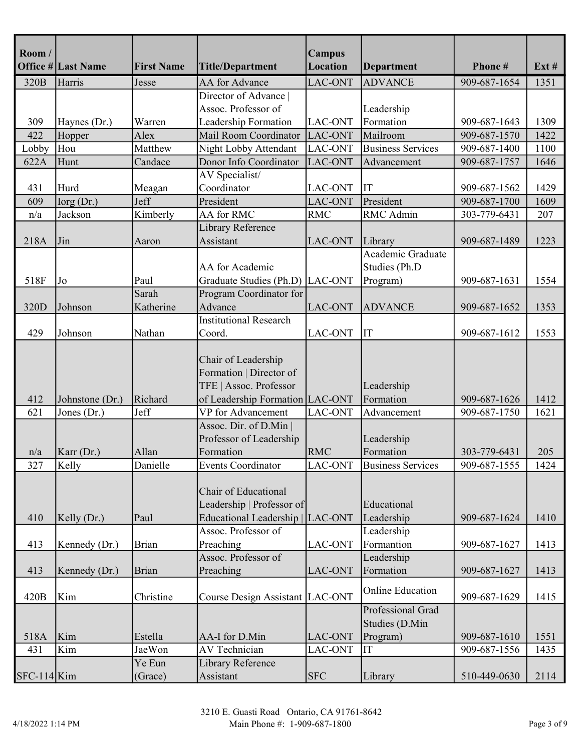| Room/         | <b>Office # Last Name</b> | <b>First Name</b> | <b>Title/Department</b>                                                                                     | <b>Campus</b><br>Location | Department                                     | Phone #      | $\mathbf{Ext} \, \mathbf{\#}$ |
|---------------|---------------------------|-------------------|-------------------------------------------------------------------------------------------------------------|---------------------------|------------------------------------------------|--------------|-------------------------------|
| 320B          | Harris                    | Jesse             | AA for Advance                                                                                              | <b>LAC-ONT</b>            | <b>ADVANCE</b>                                 | 909-687-1654 | 1351                          |
|               |                           |                   | Director of Advance<br>Assoc. Professor of                                                                  |                           | Leadership                                     |              |                               |
| 309           | Haynes (Dr.)              | Warren            | Leadership Formation                                                                                        | <b>LAC-ONT</b>            | Formation                                      | 909-687-1643 | 1309                          |
| 422           | Hopper                    | Alex              | Mail Room Coordinator                                                                                       | LAC-ONT                   | Mailroom                                       | 909-687-1570 | 1422                          |
| Lobby         | Hou                       | Matthew           | Night Lobby Attendant                                                                                       | <b>LAC-ONT</b>            | <b>Business Services</b>                       | 909-687-1400 | 1100                          |
| 622A          | Hunt                      | Candace           | Donor Info Coordinator                                                                                      | <b>LAC-ONT</b>            | Advancement                                    | 909-687-1757 | 1646                          |
|               |                           |                   | AV Specialist/                                                                                              |                           |                                                |              |                               |
| 431           | Hurd                      | Meagan            | Coordinator                                                                                                 | <b>LAC-ONT</b>            | <b>IT</b>                                      | 909-687-1562 | 1429                          |
| 609           | Iorg (Dr.)                | Jeff              | President                                                                                                   | <b>LAC-ONT</b>            | President                                      | 909-687-1700 | 1609                          |
| n/a           | Jackson                   | Kimberly          | AA for RMC                                                                                                  | <b>RMC</b>                | RMC Admin                                      | 303-779-6431 | 207                           |
|               |                           |                   | Library Reference                                                                                           |                           |                                                |              |                               |
| 218A          | Jin                       | Aaron             | Assistant                                                                                                   | <b>LAC-ONT</b>            | Library                                        | 909-687-1489 | 1223                          |
| 518F          | Jo                        | Paul              | AA for Academic<br>Graduate Studies (Ph.D) LAC-ONT                                                          |                           | Academic Graduate<br>Studies (Ph.D<br>Program) | 909-687-1631 | 1554                          |
|               |                           | Sarah             | Program Coordinator for                                                                                     |                           |                                                |              |                               |
| 320D          | Johnson                   | Katherine         | Advance                                                                                                     | <b>LAC-ONT</b>            | <b>ADVANCE</b>                                 | 909-687-1652 | 1353                          |
|               |                           |                   | <b>Institutional Research</b>                                                                               |                           |                                                |              |                               |
| 429           | Johnson                   | Nathan            | Coord.                                                                                                      | <b>LAC-ONT</b>            | IT                                             | 909-687-1612 | 1553                          |
|               |                           |                   |                                                                                                             |                           |                                                |              |                               |
| 412           | Johnstone (Dr.)           | Richard           | Chair of Leadership<br>Formation   Director of<br>TFE   Assoc. Professor<br>of Leadership Formation LAC-ONT |                           | Leadership<br>Formation                        | 909-687-1626 | 1412                          |
| 621           | Jones (Dr.)               | Jeff              | VP for Advancement                                                                                          | <b>LAC-ONT</b>            | Advancement                                    | 909-687-1750 | 1621                          |
| n/a           | Karr (Dr.)                | Allan             | Assoc. Dir. of D.Min  <br>Professor of Leadership<br>Formation                                              | <b>RMC</b>                | Leadership<br>Formation                        | 303-779-6431 | 205                           |
| 327           | Kelly                     | Danielle          | Events Coordinator                                                                                          | <b>LAC-ONT</b>            | <b>Business Services</b>                       | 909-687-1555 | 1424                          |
| 410           | Kelly (Dr.)               | Paul              | Chair of Educational<br>Leadership   Professor of<br>Educational Leadership                                 | LAC-ONT                   | Educational<br>Leadership                      | 909-687-1624 | 1410                          |
| 413           | Kennedy (Dr.)             | <b>Brian</b>      | Assoc. Professor of<br>Preaching                                                                            | <b>LAC-ONT</b>            | Leadership<br>Formantion                       | 909-687-1627 | 1413                          |
| 413           | Kennedy (Dr.)             | <b>Brian</b>      | Assoc. Professor of<br>Preaching                                                                            | LAC-ONT                   | Leadership<br>Formation                        | 909-687-1627 | 1413                          |
| 420B          | Kim                       | Christine         | Course Design Assistant LAC-ONT                                                                             |                           | <b>Online Education</b>                        | 909-687-1629 | 1415                          |
|               |                           |                   |                                                                                                             |                           | Professional Grad<br>Studies (D.Min            |              |                               |
| 518A          | Kim                       | Estella           | AA-I for D.Min                                                                                              | <b>LAC-ONT</b>            | Program)                                       | 909-687-1610 | 1551                          |
| 431           | Kim                       | JaeWon            | AV Technician                                                                                               | <b>LAC-ONT</b>            | IT                                             | 909-687-1556 | 1435                          |
|               |                           | Ye Eun            | Library Reference                                                                                           |                           |                                                |              |                               |
| $SFC-114$ Kim |                           | (Grace)           | Assistant                                                                                                   | <b>SFC</b>                | Library                                        | 510-449-0630 | 2114                          |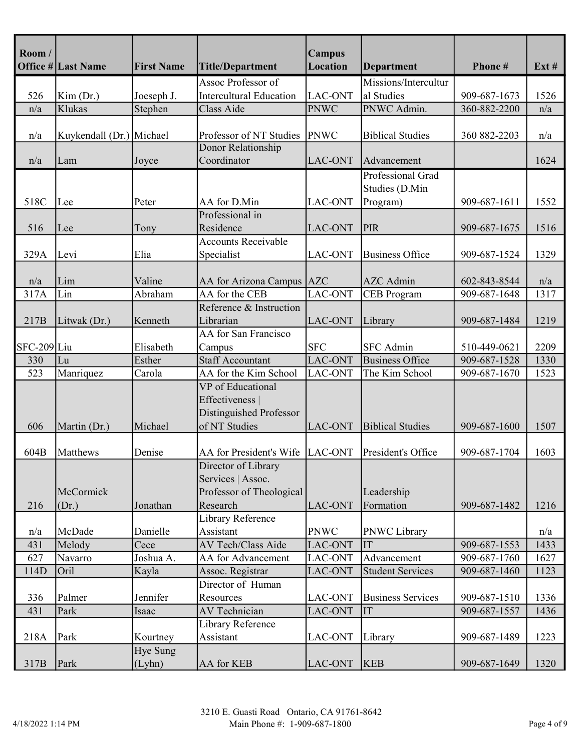| Room/         | <b>Office # Last Name</b> | <b>First Name</b>  | <b>Title/Department</b>                                                          | Campus<br><b>Location</b> | <b>Department</b>                   | Phone#       | $\mathbf{Ext} \, \mathbf{\#}$ |
|---------------|---------------------------|--------------------|----------------------------------------------------------------------------------|---------------------------|-------------------------------------|--------------|-------------------------------|
|               |                           |                    | Assoc Professor of                                                               |                           | Missions/Intercultur                |              |                               |
| 526           | Kim (Dr.)                 | Joeseph J.         | <b>Intercultural Education</b>                                                   | <b>LAC-ONT</b>            | al Studies                          | 909-687-1673 | 1526                          |
| n/a           | Klukas                    | Stephen            | Class Aide                                                                       | <b>PNWC</b>               | PNWC Admin.                         | 360-882-2200 | n/a                           |
| n/a           | Kuykendall (Dr.) Michael  |                    | Professor of NT Studies                                                          | <b>PNWC</b>               | <b>Biblical Studies</b>             | 360 882-2203 | n/a                           |
| n/a           | Lam                       | Joyce              | Donor Relationship<br>Coordinator                                                | <b>LAC-ONT</b>            | Advancement                         |              | 1624                          |
|               |                           |                    |                                                                                  |                           | Professional Grad<br>Studies (D.Min |              |                               |
| 518C          | Lee                       | Peter              | AA for D.Min                                                                     | <b>LAC-ONT</b>            | Program)                            | 909-687-1611 | 1552                          |
|               |                           |                    | Professional in                                                                  |                           |                                     |              |                               |
| 516           | Lee                       | Tony               | Residence                                                                        | <b>LAC-ONT</b>            | PIR                                 | 909-687-1675 | 1516                          |
|               |                           |                    | <b>Accounts Receivable</b>                                                       |                           |                                     |              |                               |
| 329A          | Levi                      | Elia               | Specialist                                                                       | <b>LAC-ONT</b>            | <b>Business Office</b>              | 909-687-1524 | 1329                          |
| n/a           | Lim                       | Valine             | AA for Arizona Campus AZC                                                        |                           | <b>AZC</b> Admin                    | 602-843-8544 | n/a                           |
| 317A          | Lin                       | Abraham            | AA for the CEB                                                                   | LAC-ONT                   | <b>CEB</b> Program                  | 909-687-1648 | 1317                          |
| 217B          | Litwak (Dr.)              | Kenneth            | Reference & Instruction<br>Librarian                                             | <b>LAC-ONT</b>            | Library                             | 909-687-1484 | 1219                          |
|               |                           |                    | AA for San Francisco                                                             |                           |                                     |              |                               |
| $SFC-209$ Liu |                           | Elisabeth          | Campus                                                                           | <b>SFC</b>                | <b>SFC</b> Admin                    | 510-449-0621 | 2209                          |
| 330           | $\rm{Lu}$                 | Esther             | <b>Staff Accountant</b>                                                          | <b>LAC-ONT</b>            | <b>Business Office</b>              | 909-687-1528 | 1330                          |
| 523           | Manriquez                 | Carola             | AA for the Kim School                                                            | <b>LAC-ONT</b>            | The Kim School                      | 909-687-1670 | 1523                          |
| 606           | Martin (Dr.)              | Michael            | VP of Educational<br>Effectiveness  <br>Distinguished Professor<br>of NT Studies | <b>LAC-ONT</b>            | <b>Biblical Studies</b>             | 909-687-1600 | 1507                          |
|               |                           |                    |                                                                                  |                           |                                     |              |                               |
| 604B          | Matthews                  | Denise             | AA for President's Wife LAC-ONT                                                  |                           | President's Office                  | 909-687-1704 | 1603                          |
|               |                           |                    | Director of Library<br>Services   Assoc.                                         |                           |                                     |              |                               |
|               | McCormick                 |                    | Professor of Theological                                                         |                           | Leadership                          |              |                               |
| 216           | (Dr.)                     | Jonathan           | Research                                                                         | <b>LAC-ONT</b>            | Formation                           | 909-687-1482 | 1216                          |
| n/a           | McDade                    | Danielle           | Library Reference<br>Assistant                                                   | <b>PNWC</b>               | <b>PNWC</b> Library                 |              | n/a                           |
| 431           | Melody                    | Cece               | AV Tech/Class Aide                                                               | <b>LAC-ONT</b>            | IT                                  | 909-687-1553 | 1433                          |
| 627           | Navarro                   | Joshua A.          | AA for Advancement                                                               | <b>LAC-ONT</b>            | Advancement                         | 909-687-1760 | 1627                          |
| 114D          | Oril                      | Kayla              | Assoc. Registrar                                                                 | LAC-ONT                   | <b>Student Services</b>             | 909-687-1460 | 1123                          |
|               |                           |                    | Director of Human                                                                |                           |                                     |              |                               |
| 336           | Palmer                    | Jennifer           | Resources                                                                        | <b>LAC-ONT</b>            | <b>Business Services</b>            | 909-687-1510 | 1336                          |
| 431           | Park                      | Isaac              | <b>AV Technician</b>                                                             | <b>LAC-ONT</b>            | IT                                  | 909-687-1557 | 1436                          |
|               |                           |                    | Library Reference                                                                |                           |                                     |              |                               |
| 218A          | Park                      | Kourtney           | Assistant                                                                        | <b>LAC-ONT</b>            | Library                             | 909-687-1489 | 1223                          |
| 317B          | Park                      | Hye Sung<br>(Lyhn) | AA for KEB                                                                       | LAC-ONT                   | KEB                                 | 909-687-1649 | 1320                          |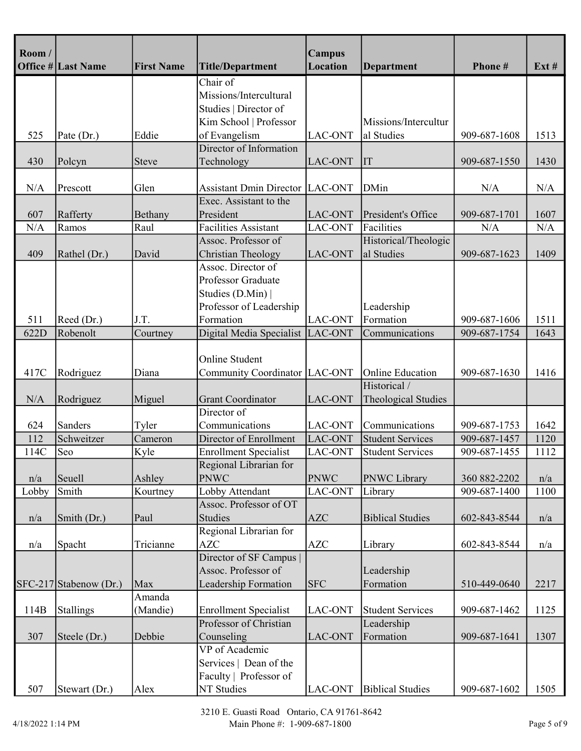| Room/ | <b>Office # Last Name</b> | <b>First Name</b> | <b>Title/Department</b>                  | <b>Campus</b><br><b>Location</b> | Department              | Phone#       | $\mathbf{Ext} \, \mathbf{\#}$ |
|-------|---------------------------|-------------------|------------------------------------------|----------------------------------|-------------------------|--------------|-------------------------------|
|       |                           |                   | Chair of                                 |                                  |                         |              |                               |
|       |                           |                   | Missions/Intercultural                   |                                  |                         |              |                               |
|       |                           |                   | Studies   Director of                    |                                  |                         |              |                               |
|       |                           |                   | Kim School   Professor                   |                                  | Missions/Intercultur    |              |                               |
| 525   | Pate (Dr.)                | Eddie             | of Evangelism                            | <b>LAC-ONT</b>                   | al Studies              | 909-687-1608 | 1513                          |
|       |                           |                   | Director of Information                  |                                  |                         |              |                               |
| 430   | Polcyn                    | <b>Steve</b>      | Technology                               | <b>LAC-ONT</b>                   | IT                      | 909-687-1550 | 1430                          |
|       |                           |                   |                                          |                                  |                         |              |                               |
| N/A   | Prescott                  | Glen              | <b>Assistant Dmin Director</b>           | <b>LAC-ONT</b>                   | <b>DMin</b>             | N/A          | N/A                           |
|       |                           |                   | Exec. Assistant to the                   |                                  |                         |              |                               |
| 607   | Rafferty                  | Bethany           | President                                | <b>LAC-ONT</b>                   | President's Office      | 909-687-1701 | 1607                          |
| N/A   | Ramos                     | Raul              | <b>Facilities Assistant</b>              | <b>LAC-ONT</b>                   | Facilities              | N/A          | N/A                           |
|       |                           |                   | Assoc. Professor of                      |                                  | Historical/Theologic    |              |                               |
| 409   | Rathel (Dr.)              | David             | Christian Theology                       | LAC-ONT                          | al Studies              | 909-687-1623 | 1409                          |
|       |                           |                   | Assoc. Director of<br>Professor Graduate |                                  |                         |              |                               |
|       |                           |                   | Studies (D.Min)                          |                                  |                         |              |                               |
|       |                           |                   | Professor of Leadership                  |                                  | Leadership              |              |                               |
| 511   | Reed (Dr.)                | J.T.              | Formation                                | <b>LAC-ONT</b>                   | Formation               | 909-687-1606 | 1511                          |
| 622D  | Robenolt                  | Courtney          | Digital Media Specialist                 | LAC-ONT                          | Communications          | 909-687-1754 | 1643                          |
|       |                           |                   |                                          |                                  |                         |              |                               |
|       |                           |                   | <b>Online Student</b>                    |                                  |                         |              |                               |
| 417C  | Rodriguez                 | Diana             | Community Coordinator  LAC-ONT           |                                  | <b>Online Education</b> | 909-687-1630 | 1416                          |
|       |                           |                   |                                          |                                  | Historical /            |              |                               |
| N/A   | Rodriguez                 | Miguel            | <b>Grant Coordinator</b>                 | <b>LAC-ONT</b>                   | Theological Studies     |              |                               |
|       |                           |                   | Director of                              |                                  |                         |              |                               |
| 624   | Sanders                   | Tyler             | Communications                           | <b>LAC-ONT</b>                   | Communications          | 909-687-1753 | 1642                          |
| 112   | Schweitzer                | Cameron           | Director of Enrollment                   | <b>LAC-ONT</b>                   | <b>Student Services</b> | 909-687-1457 | 1120                          |
| 114C  | Seo                       | Kyle              | <b>Enrollment Specialist</b>             | <b>LAC-ONT</b>                   | <b>Student Services</b> | 909-687-1455 | 1112                          |
|       |                           |                   | Regional Librarian for                   |                                  |                         |              |                               |
| n/a   | Seuell                    | Ashley            | <b>PNWC</b>                              | <b>PNWC</b>                      | <b>PNWC</b> Library     | 360 882-2202 | n/a                           |
| Lobby | Smith                     | Kourtney          | Lobby Attendant                          | LAC-ONT                          | Library                 | 909-687-1400 | 1100                          |
|       |                           |                   | Assoc. Professor of OT                   |                                  |                         |              |                               |
| n/a   | Smith (Dr.)               | Paul              | Studies                                  | AZC                              | <b>Biblical Studies</b> | 602-843-8544 | n/a                           |
|       |                           | Tricianne         | Regional Librarian for<br><b>AZC</b>     | AZC                              | Library                 | 602-843-8544 | n/a                           |
| n/a   | Spacht                    |                   | Director of SF Campus                    |                                  |                         |              |                               |
|       |                           |                   | Assoc. Professor of                      |                                  | Leadership              |              |                               |
|       | $SFC-217$ Stabenow (Dr.)  | Max               | Leadership Formation                     | ${\rm SFC}$                      | Formation               | 510-449-0640 | 2217                          |
|       |                           | Amanda            |                                          |                                  |                         |              |                               |
| 114B  | Stallings                 | (Mandie)          | <b>Enrollment Specialist</b>             | <b>LAC-ONT</b>                   | <b>Student Services</b> | 909-687-1462 | 1125                          |
|       |                           |                   | Professor of Christian                   |                                  | Leadership              |              |                               |
| 307   | Steele (Dr.)              | Debbie            | Counseling                               | <b>LAC-ONT</b>                   | Formation               | 909-687-1641 | 1307                          |
|       |                           |                   | VP of Academic                           |                                  |                         |              |                               |
|       |                           |                   | Services   Dean of the                   |                                  |                         |              |                               |
|       |                           |                   | Faculty   Professor of                   |                                  |                         |              |                               |
| 507   | Stewart (Dr.)             | Alex              | NT Studies                               | <b>LAC-ONT</b>                   | <b>Biblical Studies</b> | 909-687-1602 | 1505                          |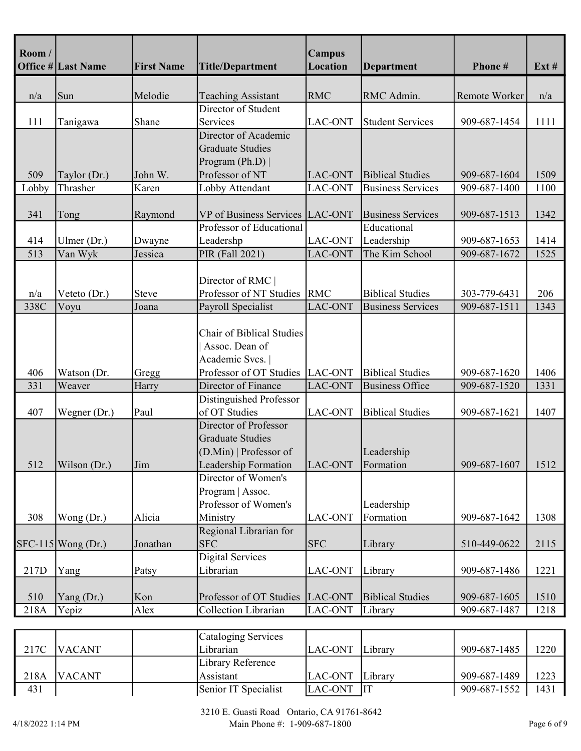| Room/ | <b>Office # Last Name</b> | <b>First Name</b> | <b>Title/Department</b>                                                                                    | Campus<br>Location | <b>Department</b>         | Phone#        | $\mathbf{Ext} \, \mathbf{\#}$ |
|-------|---------------------------|-------------------|------------------------------------------------------------------------------------------------------------|--------------------|---------------------------|---------------|-------------------------------|
| n/a   | Sun                       | Melodie           | <b>Teaching Assistant</b>                                                                                  | <b>RMC</b>         | RMC Admin.                | Remote Worker | n/a                           |
|       |                           |                   | Director of Student                                                                                        |                    |                           |               |                               |
| 111   | Tanigawa                  | Shane             | Services                                                                                                   | <b>LAC-ONT</b>     | <b>Student Services</b>   | 909-687-1454  | 1111                          |
|       |                           |                   | Director of Academic<br><b>Graduate Studies</b><br>Program (Ph.D)                                          |                    |                           |               |                               |
| 509   | Taylor (Dr.)              | John W.           | Professor of NT                                                                                            | LAC-ONT            | <b>Biblical Studies</b>   | 909-687-1604  | 1509                          |
| Lobby | Thrasher                  | Karen             | Lobby Attendant                                                                                            | <b>LAC-ONT</b>     | <b>Business Services</b>  | 909-687-1400  | 1100                          |
| 341   | Tong                      | Raymond           | <b>VP</b> of Business Services LAC-ONT                                                                     |                    | <b>Business Services</b>  | 909-687-1513  | 1342                          |
| 414   | Ulmer $(Dr.)$             |                   | Professor of Educational<br>Leadershp                                                                      | <b>LAC-ONT</b>     | Educational<br>Leadership | 909-687-1653  | 1414                          |
| 513   | Van Wyk                   | Dwayne<br>Jessica | PIR (Fall 2021)                                                                                            | <b>LAC-ONT</b>     | The Kim School            | 909-687-1672  | 1525                          |
|       |                           |                   |                                                                                                            |                    |                           |               |                               |
|       |                           |                   | Director of RMC                                                                                            |                    |                           |               |                               |
| n/a   | Veteto (Dr.)              | <b>Steve</b>      | Professor of NT Studies RMC                                                                                |                    | <b>Biblical Studies</b>   | 303-779-6431  | 206                           |
| 338C  | Voyu                      | Joana             | Payroll Specialist                                                                                         | <b>LAC-ONT</b>     | <b>Business Services</b>  | 909-687-1511  | 1343                          |
| 406   | Watson (Dr.               | Gregg             | <b>Chair of Biblical Studies</b><br>Assoc. Dean of<br>Academic Svcs.  <br>Professor of OT Studies  LAC-ONT |                    | <b>Biblical Studies</b>   | 909-687-1620  | 1406                          |
| 331   | Weaver                    | Harry             | Director of Finance                                                                                        | <b>LAC-ONT</b>     | <b>Business Office</b>    | 909-687-1520  | 1331                          |
| 407   | Wegner (Dr.)              | Paul              | Distinguished Professor<br>of OT Studies                                                                   | <b>LAC-ONT</b>     | <b>Biblical Studies</b>   | 909-687-1621  | 1407                          |
| 512   | Wilson (Dr.)              | Jim               | Director of Professor<br><b>Graduate Studies</b><br>$(D.Min)$ Professor of<br>Leadership Formation         | LAC-ONT            | Leadership<br>Formation   | 909-687-1607  | 1512                          |
| 308   | Wong $(Dr.)$              | Alicia            | Director of Women's<br>Program   Assoc.<br>Professor of Women's<br>Ministry                                | <b>LAC-ONT</b>     | Leadership<br>Formation   | 909-687-1642  | 1308                          |
|       |                           |                   | Regional Librarian for                                                                                     |                    |                           |               |                               |
|       | $SFC-115$ Wong (Dr.)      | Jonathan          | <b>SFC</b>                                                                                                 | <b>SFC</b>         | Library                   | 510-449-0622  | 2115                          |
| 217D  | Yang                      | Patsy             | Digital Services<br>Librarian                                                                              | <b>LAC-ONT</b>     | Library                   | 909-687-1486  | 1221                          |
| 510   | Yang (Dr.)                | Kon               | Professor of OT Studies                                                                                    | LAC-ONT            | <b>Biblical Studies</b>   | 909-687-1605  | 1510                          |
| 218A  | Yepiz                     | Alex              | Collection Librarian                                                                                       | <b>LAC-ONT</b>     | Library                   | 909-687-1487  | 1218                          |

|      |               | Cataloging Services  |                 |         |              |      |
|------|---------------|----------------------|-----------------|---------|--------------|------|
| 217C | <b>VACANT</b> | Librarian            | LAC-ONT         | Library | 909-687-1485 | 1220 |
|      |               | Library Reference    |                 |         |              |      |
| 218A | <b>VACANT</b> | Assistant            | LAC-ONT Library |         | 909-687-1489 | 1223 |
| 431  |               | Senior IT Specialist | LAC-ONT         |         | 909-687-1552 | 1431 |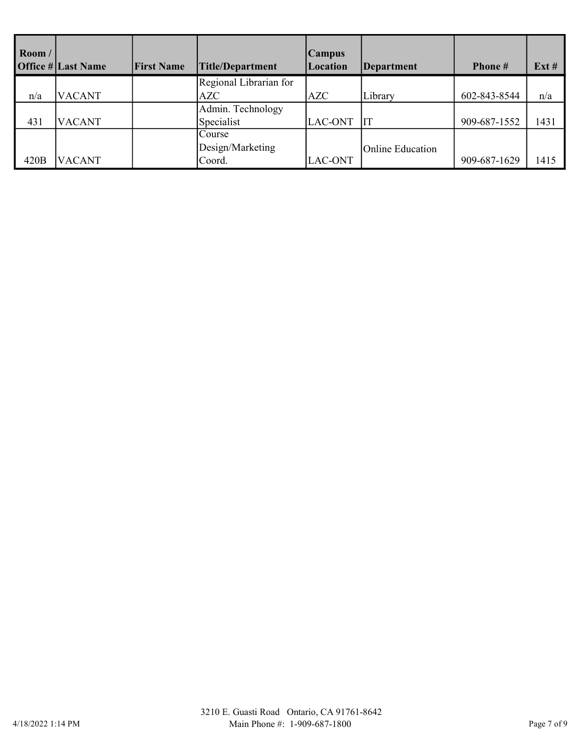| Room/ | <b>Office # Last Name</b> | <b>First Name</b> | Title/Department       | Campus<br>Location | Department              | Phone #      | $\operatorname{Ext}$ # |
|-------|---------------------------|-------------------|------------------------|--------------------|-------------------------|--------------|------------------------|
|       |                           |                   | Regional Librarian for |                    |                         |              |                        |
| n/a   | <b>VACANT</b>             |                   | <b>AZC</b>             | AZC                | Library                 | 602-843-8544 | n/a                    |
|       |                           |                   | Admin. Technology      |                    |                         |              |                        |
| 431   | <b>VACANT</b>             |                   | Specialist             | <b>LAC-ONT</b>     | lІT                     | 909-687-1552 | 1431                   |
|       |                           |                   | Course                 |                    |                         |              |                        |
|       |                           |                   | Design/Marketing       |                    | <b>Online Education</b> |              |                        |
| 420B  | <b>VACANT</b>             |                   | Coord.                 | <b>LAC-ONT</b>     |                         | 909-687-1629 | 1415                   |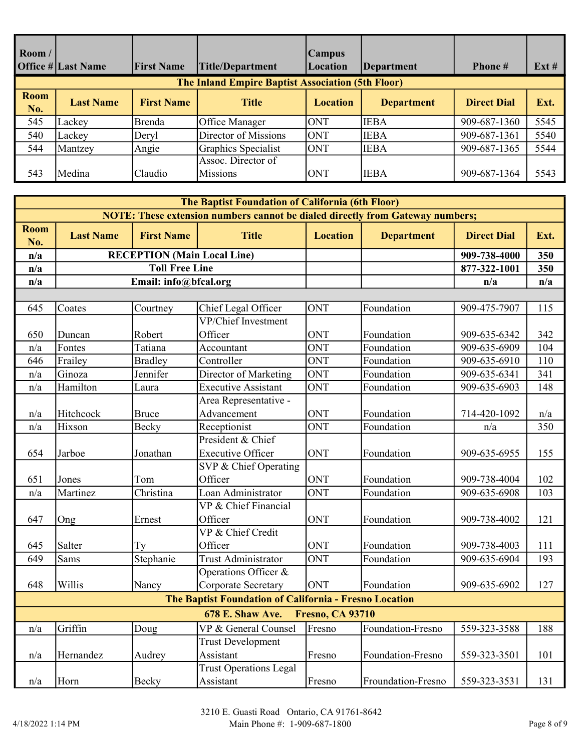| Room/              | <b>Office #</b> Last Name                                | <b>First Name</b> | Title/Department               | <b>Campus</b><br>Location | Department        | Phone #            | $\mathbf{Ext} \, \mathbf{\#}$ |  |  |  |
|--------------------|----------------------------------------------------------|-------------------|--------------------------------|---------------------------|-------------------|--------------------|-------------------------------|--|--|--|
|                    | <b>The Inland Empire Baptist Association (5th Floor)</b> |                   |                                |                           |                   |                    |                               |  |  |  |
| <b>Room</b><br>No. | <b>Last Name</b>                                         | <b>First Name</b> | <b>Title</b>                   | <b>Location</b>           | <b>Department</b> | <b>Direct Dial</b> | Ext.                          |  |  |  |
| 545                | Lackey                                                   | Brenda            | <b>Office Manager</b>          | <b>ONT</b>                | <b>IEBA</b>       | 909-687-1360       | 5545                          |  |  |  |
| 540                | Lackey                                                   | Deryl             | Director of Missions           | <b>ONT</b>                | <b>IEBA</b>       | 909-687-1361       | 5540                          |  |  |  |
| 544                | Mantzey                                                  | Angie             | Graphics Specialist            | <b>ONT</b>                | <b>IEBA</b>       | 909-687-1365       | 5544                          |  |  |  |
| 543                | Medina                                                   | Claudio           | Assoc. Director of<br>Missions | <b>ONT</b>                | <b>IEBA</b>       | 909-687-1364       | 5543                          |  |  |  |

|                    |                  |                                    | The Baptist Foundation of California (6th Floor)                                     |                         |                    |                    |      |
|--------------------|------------------|------------------------------------|--------------------------------------------------------------------------------------|-------------------------|--------------------|--------------------|------|
|                    |                  |                                    | <b>NOTE: These extension numbers cannot be dialed directly from Gateway numbers;</b> |                         |                    |                    |      |
| <b>Room</b><br>No. | <b>Last Name</b> | <b>First Name</b>                  | <b>Title</b>                                                                         | <b>Location</b>         | <b>Department</b>  | <b>Direct Dial</b> | Ext. |
| n/a                |                  | <b>RECEPTION</b> (Main Local Line) |                                                                                      |                         |                    | 909-738-4000       | 350  |
| n/a                |                  | <b>Toll Free Line</b>              |                                                                                      |                         |                    | 877-322-1001       | 350  |
| n/a                |                  | Email: info@bfcal.org              |                                                                                      |                         |                    | n/a                | n/a  |
|                    |                  |                                    |                                                                                      |                         |                    |                    |      |
| 645                | Coates           | Courtney                           | Chief Legal Officer                                                                  | <b>ONT</b>              | Foundation         | 909-475-7907       | 115  |
|                    |                  |                                    | <b>VP/Chief Investment</b>                                                           |                         |                    |                    |      |
| 650                | Duncan           | Robert                             | Officer                                                                              | <b>ONT</b>              | Foundation         | 909-635-6342       | 342  |
| n/a                | Fontes           | Tatiana                            | Accountant                                                                           | ONT                     | Foundation         | 909-635-6909       | 104  |
| 646                | Frailey          | <b>Bradley</b>                     | Controller                                                                           | ONT                     | Foundation         | 909-635-6910       | 110  |
| n/a                | Ginoza           | Jennifer                           | Director of Marketing                                                                | ONT                     | Foundation         | 909-635-6341       | 341  |
| n/a                | Hamilton         | Laura                              | <b>Executive Assistant</b>                                                           | <b>ONT</b>              | Foundation         | 909-635-6903       | 148  |
|                    |                  |                                    | Area Representative -                                                                |                         |                    |                    |      |
| n/a                | Hitchcock        | <b>Bruce</b>                       | Advancement                                                                          | <b>ONT</b>              | Foundation         | 714-420-1092       | n/a  |
| n/a                | Hixson           | Becky                              | Receptionist                                                                         | <b>ONT</b>              | Foundation         | n/a                | 350  |
|                    |                  |                                    | President & Chief                                                                    |                         |                    |                    |      |
| 654                | Jarboe           | Jonathan                           | <b>Executive Officer</b>                                                             | <b>ONT</b>              | Foundation         | 909-635-6955       | 155  |
|                    |                  |                                    | SVP & Chief Operating                                                                |                         |                    |                    |      |
| 651                | Jones            | Tom                                | Officer                                                                              | <b>ONT</b>              | Foundation         | 909-738-4004       | 102  |
| n/a                | Martinez         | Christina                          | Loan Administrator                                                                   | <b>ONT</b>              | Foundation         | 909-635-6908       | 103  |
|                    |                  |                                    | VP & Chief Financial                                                                 |                         |                    |                    |      |
| 647                | Ong              | Ernest                             | Officer                                                                              | <b>ONT</b>              | Foundation         | 909-738-4002       | 121  |
|                    |                  |                                    | VP & Chief Credit                                                                    |                         |                    |                    |      |
| 645                | Salter           | Ty                                 | Officer                                                                              | <b>ONT</b>              | Foundation         | 909-738-4003       | 111  |
| 649                | Sams             | Stephanie                          | <b>Trust Administrator</b>                                                           | <b>ONT</b>              | Foundation         | 909-635-6904       | 193  |
|                    |                  |                                    | Operations Officer &                                                                 |                         |                    |                    |      |
| 648                | Willis           | Nancy                              | Corporate Secretary                                                                  | <b>ONT</b>              | Foundation         | 909-635-6902       | 127  |
|                    |                  |                                    | The Baptist Foundation of California - Fresno Location                               |                         |                    |                    |      |
|                    |                  |                                    | <b>678 E. Shaw Ave.</b>                                                              | <b>Fresno, CA 93710</b> |                    |                    |      |
| n/a                | Griffin          | Doug                               | VP & General Counsel                                                                 | Fresno                  | Foundation-Fresno  | 559-323-3588       | 188  |
|                    |                  |                                    | <b>Trust Development</b>                                                             |                         |                    |                    |      |
| n/a                | Hernandez        | Audrey                             | Assistant                                                                            | Fresno                  | Foundation-Fresno  | 559-323-3501       | 101  |
|                    |                  |                                    | <b>Trust Operations Legal</b>                                                        |                         |                    |                    |      |
| n/a                | Horn             | Becky                              | Assistant                                                                            | Fresno                  | Froundation-Fresno | 559-323-3531       | 131  |